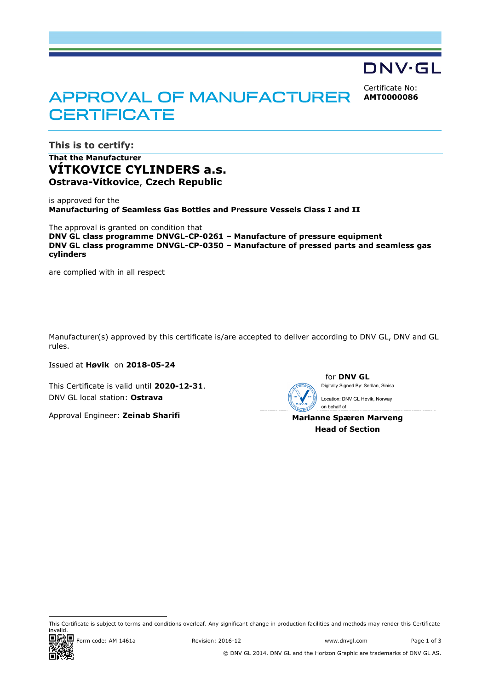# DNV·GL

Certificate No: **AMT0000086**

# **APPROVAL OF MANUFACTURER CERTIFICATE**

**This is to certify: That the Manufacturer**

**VÍTKOVICE CYLINDERS a.s. Ostrava-Vítkovice**, **Czech Republic**

is approved for the **Manufacturing of Seamless Gas Bottles and Pressure Vessels Class I and II**

The approval is granted on condition that **DNV GL class programme DNVGL-CP-0261 – Manufacture of pressure equipment DNV GL class programme DNVGL-CP-0350 – Manufacture of pressed parts and seamless gas cylinders**

are complied with in all respect

Manufacturer(s) approved by this certificate is/are accepted to deliver according to DNV GL, DNV and GL rules.

Issued at **Høvik** on **2018-05-24**

This Certificate is valid until **2020-12-31**. DNV GL local station: **Ostrava**

Approval Engineer: **Zeinab Sharifi**



for **DNV GL** Digitally Signed By: Sedlan, Sinisa

 on behalf of**Marianne Spæren Marveng** Location: DNV GL Høvik, Norway

**Head of Section**

ı This Certificate is subject to terms and conditions overleaf. Any significant change in production facilities and methods may render this Certificate invalid.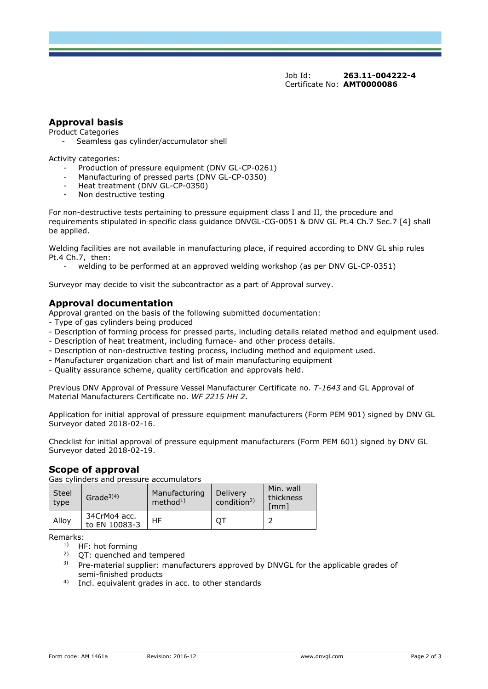Job Id: **263.11-004222-4** Certificate No: **AMT0000086**

## **Approval basis**

Product Categories

- Seamless gas cylinder/accumulator shell

Activity categories:

- Production of pressure equipment (DNV GL-CP-0261)
- Manufacturing of pressed parts (DNV GL-CP-0350)
- Heat treatment (DNV GL-CP-0350)
- Non destructive testing

For non-destructive tests pertaining to pressure equipment class I and II, the procedure and requirements stipulated in specific class guidance DNVGL-CG-0051 & DNV GL Pt.4 Ch.7 Sec.7 [4] shall be applied.

Welding facilities are not available in manufacturing place, if required according to DNV GL ship rules Pt.4 Ch.7, then:

welding to be performed at an approved welding workshop (as per DNV GL-CP-0351)

Surveyor may decide to visit the subcontractor as a part of Approval survey.

#### **Approval documentation**

- Approval granted on the basis of the following submitted documentation:
- Type of gas cylinders being produced
- Description of forming process for pressed parts, including details related method and equipment used.
- Description of heat treatment, including furnace- and other process details.
- Description of non-destructive testing process, including method and equipment used.
- Manufacturer organization chart and list of main manufacturing equipment
- Quality assurance scheme, quality certification and approvals held.

Previous DNV Approval of Pressure Vessel Manufacturer Certificate no. *T-1643* and GL Approval of Material Manufacturers Certificate no. *WF 2215 HH 2*.

Application for initial approval of pressure equipment manufacturers (Form PEM 901) signed by DNV GL Surveyor dated 2018-02-16.

Checklist for initial approval of pressure equipment manufacturers (Form PEM 601) signed by DNV GL Surveyor dated 2018-02-19.

#### **Scope of approval**

Gas cylinders and pressure accumulators

| <b>Steel</b><br>type | Grade <sup>3)4)</sup>         | Manufacturing<br>method <sup>1</sup> | Delivery<br>condition <sup>2)</sup> | Min. wall<br>thickness<br>mm |
|----------------------|-------------------------------|--------------------------------------|-------------------------------------|------------------------------|
| Allov                | 34CrMo4 acc.<br>to EN 10083-3 | HF                                   | QT                                  | ∍                            |

Remarks:

- <sup>1)</sup> HF: hot forming<br><sup>2)</sup> OT: quenched a
- 2) QT: quenched and tempered
- $3)$  Pre-material supplier: manufacturers approved by DNVGL for the applicable grades of semi-finished products
- 4) Incl. equivalent grades in acc. to other standards